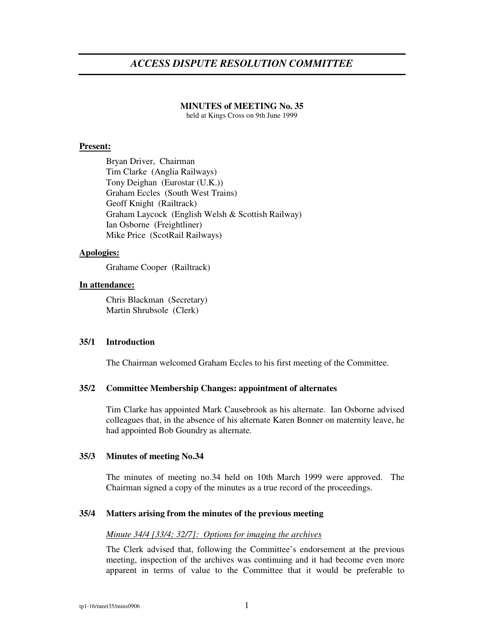# *ACCESS DISPUTE RESOLUTION COMMITTEE*

#### **MINUTES of MEETING No. 35**

held at Kings Cross on 9th June 1999

### **Present:**

Bryan Driver, Chairman Tim Clarke (Anglia Railways) Tony Deighan (Eurostar (U.K.)) Graham Eccles (South West Trains) Geoff Knight (Railtrack) Graham Laycock (English Welsh & Scottish Railway) Ian Osborne (Freightliner) Mike Price (ScotRail Railways)

# **Apologies:**

Grahame Cooper (Railtrack)

# **In attendance:**

Chris Blackman (Secretary) Martin Shrubsole (Clerk)

#### **35/1 Introduction**

The Chairman welcomed Graham Eccles to his first meeting of the Committee.

#### **35/2 Committee Membership Changes: appointment of alternates**

Tim Clarke has appointed Mark Causebrook as his alternate. Ian Osborne advised colleagues that, in the absence of his alternate Karen Bonner on maternity leave, he had appointed Bob Goundry as alternate.

# **35/3 Minutes of meeting No.34**

The minutes of meeting no.34 held on 10th March 1999 were approved. The Chairman signed a copy of the minutes as a true record of the proceedings.

# **35/4 Matters arising from the minutes of the previous meeting**

#### *Minute 34/4 [33/4; 32/7]: Options for imaging the archives*

The Clerk advised that, following the Committee's endorsement at the previous meeting, inspection of the archives was continuing and it had become even more apparent in terms of value to the Committee that it would be preferable to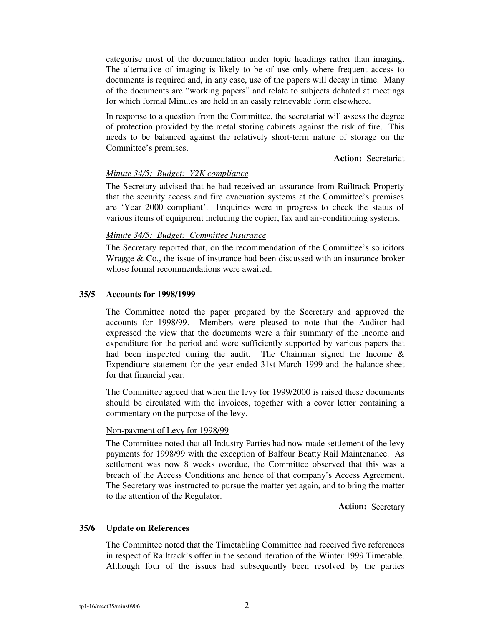categorise most of the documentation under topic headings rather than imaging. The alternative of imaging is likely to be of use only where frequent access to documents is required and, in any case, use of the papers will decay in time. Many of the documents are "working papers" and relate to subjects debated at meetings for which formal Minutes are held in an easily retrievable form elsewhere.

In response to a question from the Committee, the secretariat will assess the degree of protection provided by the metal storing cabinets against the risk of fire. This needs to be balanced against the relatively short-term nature of storage on the Committee's premises.

**Action:** Secretariat

# *Minute 34/5: Budget: Y2K compliance*

The Secretary advised that he had received an assurance from Railtrack Property that the security access and fire evacuation systems at the Committee's premises are 'Year 2000 compliant'. Enquiries were in progress to check the status of various items of equipment including the copier, fax and air-conditioning systems.

# *Minute 34/5: Budget: Committee Insurance*

The Secretary reported that, on the recommendation of the Committee's solicitors Wragge & Co., the issue of insurance had been discussed with an insurance broker whose formal recommendations were awaited.

#### **35/5 Accounts for 1998/1999**

The Committee noted the paper prepared by the Secretary and approved the accounts for 1998/99. Members were pleased to note that the Auditor had expressed the view that the documents were a fair summary of the income and expenditure for the period and were sufficiently supported by various papers that had been inspected during the audit. The Chairman signed the Income  $\&$ Expenditure statement for the year ended 31st March 1999 and the balance sheet for that financial year.

The Committee agreed that when the levy for 1999/2000 is raised these documents should be circulated with the invoices, together with a cover letter containing a commentary on the purpose of the levy.

## Non-payment of Levy for 1998/99

The Committee noted that all Industry Parties had now made settlement of the levy payments for 1998/99 with the exception of Balfour Beatty Rail Maintenance. As settlement was now 8 weeks overdue, the Committee observed that this was a breach of the Access Conditions and hence of that company's Access Agreement. The Secretary was instructed to pursue the matter yet again, and to bring the matter to the attention of the Regulator.

**Action:** Secretary

#### **35/6 Update on References**

The Committee noted that the Timetabling Committee had received five references in respect of Railtrack's offer in the second iteration of the Winter 1999 Timetable. Although four of the issues had subsequently been resolved by the parties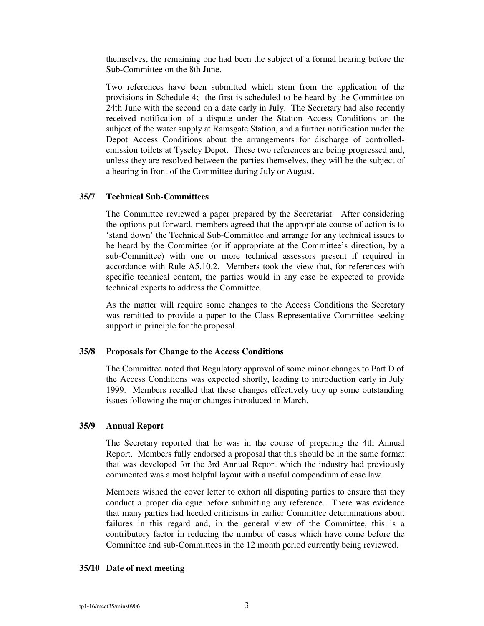themselves, the remaining one had been the subject of a formal hearing before the Sub-Committee on the 8th June.

Two references have been submitted which stem from the application of the provisions in Schedule 4; the first is scheduled to be heard by the Committee on 24th June with the second on a date early in July. The Secretary had also recently received notification of a dispute under the Station Access Conditions on the subject of the water supply at Ramsgate Station, and a further notification under the Depot Access Conditions about the arrangements for discharge of controlledemission toilets at Tyseley Depot. These two references are being progressed and, unless they are resolved between the parties themselves, they will be the subject of a hearing in front of the Committee during July or August.

### **35/7 Technical Sub-Committees**

The Committee reviewed a paper prepared by the Secretariat. After considering the options put forward, members agreed that the appropriate course of action is to 'stand down' the Technical Sub-Committee and arrange for any technical issues to be heard by the Committee (or if appropriate at the Committee's direction, by a sub-Committee) with one or more technical assessors present if required in accordance with Rule A5.10.2. Members took the view that, for references with specific technical content, the parties would in any case be expected to provide technical experts to address the Committee.

As the matter will require some changes to the Access Conditions the Secretary was remitted to provide a paper to the Class Representative Committee seeking support in principle for the proposal.

## **35/8 Proposals for Change to the Access Conditions**

The Committee noted that Regulatory approval of some minor changes to Part D of the Access Conditions was expected shortly, leading to introduction early in July 1999. Members recalled that these changes effectively tidy up some outstanding issues following the major changes introduced in March.

# **35/9 Annual Report**

The Secretary reported that he was in the course of preparing the 4th Annual Report. Members fully endorsed a proposal that this should be in the same format that was developed for the 3rd Annual Report which the industry had previously commented was a most helpful layout with a useful compendium of case law.

Members wished the cover letter to exhort all disputing parties to ensure that they conduct a proper dialogue before submitting any reference. There was evidence that many parties had heeded criticisms in earlier Committee determinations about failures in this regard and, in the general view of the Committee, this is a contributory factor in reducing the number of cases which have come before the Committee and sub-Committees in the 12 month period currently being reviewed.

### **35/10 Date of next meeting**